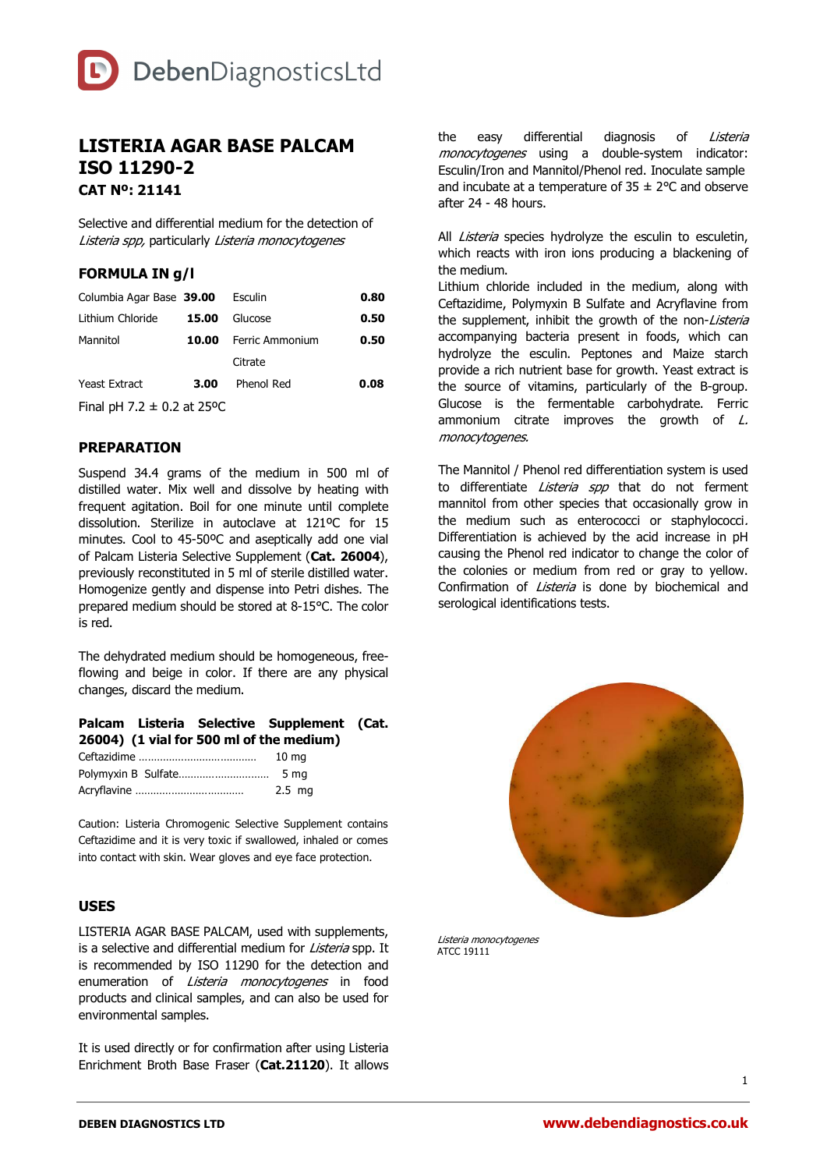# **LISTERIA AGAR BASE PALCAM ISO 11290-2 CAT Nº: 21141**

Selective and differential medium for the detection of Listeria spp, particularly Listeria monocytogenes

### **FORMULA IN g/l**

| Columbia Agar Base 39.00                               |       | Esculin               | 0.80 |  |  |
|--------------------------------------------------------|-------|-----------------------|------|--|--|
| Lithium Chloride                                       | 15.00 | Glucose               | 0.50 |  |  |
| Mannitol                                               |       | 10.00 Ferric Ammonium | 0.50 |  |  |
|                                                        |       | Citrate               |      |  |  |
| <b>Yeast Extract</b>                                   | 3.00  | Phenol Red            | 0.08 |  |  |
| $F(x-1)$ $\rightarrow$ $F(x-1)$ $\rightarrow$ $F(x-1)$ |       |                       |      |  |  |

Final pH 7.2  $\pm$  0.2 at 25°C

# **PREPARATION**

Suspend 34.4 grams of the medium in 500 ml of distilled water. Mix well and dissolve by heating with frequent agitation. Boil for one minute until complete dissolution. Sterilize in autoclave at 121ºC for 15 minutes. Cool to 45-50ºC and aseptically add one vial of Palcam Listeria Selective Supplement (**Cat. 26004**), previously reconstituted in 5 ml of sterile distilled water. Homogenize gently and dispense into Petri dishes. The prepared medium should be stored at 8-15°C. The color is red.

The dehydrated medium should be homogeneous, freeflowing and beige in color. If there are any physical changes, discard the medium.

#### **Palcam Listeria Selective Supplement (Cat. 26004) (1 vial for 500 ml of the medium)**

| 10 <sub>ma</sub> |  |
|------------------|--|
|                  |  |
| 2.5 ma           |  |

Caution: Listeria Chromogenic Selective Supplement contains Ceftazidime and it is very toxic if swallowed, inhaled or comes into contact with skin. Wear gloves and eye face protection.

### **USES**

LISTERIA AGAR BASE PALCAM, used with supplements, is a selective and differential medium for Listeria spp. It is recommended by ISO 11290 for the detection and enumeration of Listeria monocytogenes in food products and clinical samples, and can also be used for environmental samples.

It is used directly or for confirmation after using Listeria Enrichment Broth Base Fraser (**Cat.21120**). It allows the easy differential diagnosis of Listeria monocytogenes using a double-system indicator: Esculin/Iron and Mannitol/Phenol red. Inoculate sample and incubate at a temperature of  $35 \pm 2^{\circ}$ C and observe after 24 - 48 hours.

All *Listeria* species hydrolyze the esculin to esculetin, which reacts with iron ions producing a blackening of the medium.

Lithium chloride included in the medium, along with Ceftazidime, Polymyxin B Sulfate and Acryflavine from the supplement, inhibit the growth of the non-Listeria accompanying bacteria present in foods, which can hydrolyze the esculin. Peptones and Maize starch provide a rich nutrient base for growth. Yeast extract is the source of vitamins, particularly of the B-group. Glucose is the fermentable carbohydrate. Ferric ammonium citrate improves the growth of  $L$ . monocytogenes.

The Mannitol / Phenol red differentiation system is used to differentiate Listeria spp that do not ferment mannitol from other species that occasionally grow in the medium such as enterococci or staphylococci. Differentiation is achieved by the acid increase in pH causing the Phenol red indicator to change the color of the colonies or medium from red or gray to yellow. Confirmation of *Listeria* is done by biochemical and serological identifications tests.



Listeria monocytogenes ATCC 19111